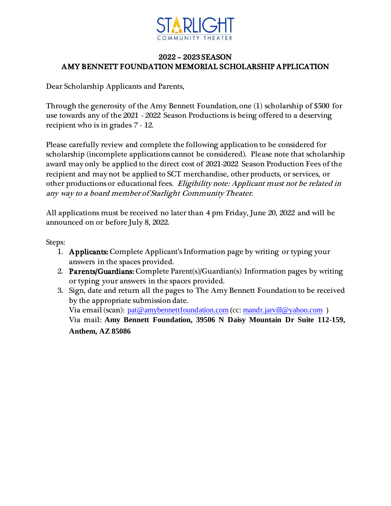

# 2022 – 2023 SEASON AMY BENNETT FOUNDATION MEMORIAL SCHOLARSHIP APPLICATION

Dear Scholarship Applicants and Parents,

Through the generosity of the Amy Bennett Foundation, one (1) scholarship of \$500 for use towards any of the 2021 - 2022 Season Productions is being offered to a deserving recipient who is in grades 7 - 12.

Please carefully review and complete the following application to be considered for scholarship (incomplete applications cannot be considered). Please note that scholarship award may only be applied to the direct cost of 2021-2022 Season Production Fees of the recipient and may not be applied to SCT merchandise, other products, or services, or other productions or educational fees. Eligibility note: Applicant must not be related in any way to a board member of Starlight Community Theater.

All applications must be received no later than 4 pm Friday, June 20, 2022 and will be announced on or before July 8, 2022.

Steps:

- 1. Applicants: Complete Applicant's Information page by writing or typing your answers in the spaces provided.
- 2. Parents/Guardians: Complete Parent(s)/Guardian(s) Information pages by writing or typing your answers in the spaces provided.
- 3. Sign, date and return all the pages to The Amy Bennett Foundation to be received by the appropriate submission date. Via email (scan): [pat@amybennettfoundation.com](mailto:pat@amybennettfoundation.com) (cc: [mandr.jarvill@yahoo.com](mailto:mandr.jarvill@yahoo.com) ) Via mail: **Amy Bennett Foundation, 39506 N Daisy Mountain Dr Suite 112-159, Anthem, AZ 85086**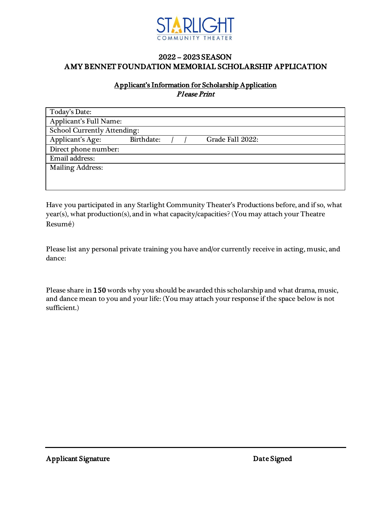

# 2022 – 2023 SEASON AMY BENNET FOUNDATION MEMORIAL SCHOLARSHIP APPLICATION

## Applicant's Information for Scholarship Application Please Print

| Today's Date:                      |            |  |  |                  |  |
|------------------------------------|------------|--|--|------------------|--|
| Applicant's Full Name:             |            |  |  |                  |  |
| <b>School Currently Attending:</b> |            |  |  |                  |  |
| Applicant's Age:                   | Birthdate: |  |  | Grade Fall 2022: |  |
| Direct phone number:               |            |  |  |                  |  |
| Email address:                     |            |  |  |                  |  |
| <b>Mailing Address:</b>            |            |  |  |                  |  |
|                                    |            |  |  |                  |  |
|                                    |            |  |  |                  |  |

Have you participated in any Starlight Community Theater's Productions before, and if so, what year(s), what production(s), and in what capacity/capacities? (You may attach your Theatre Resumé)

Please list any personal private training you have and/or currently receive in acting, music, and dance:

Please share in 150 words why you should be awarded this scholarship and what drama, music, and dance mean to you and your life: (You may attach your response if the space below is not sufficient.)